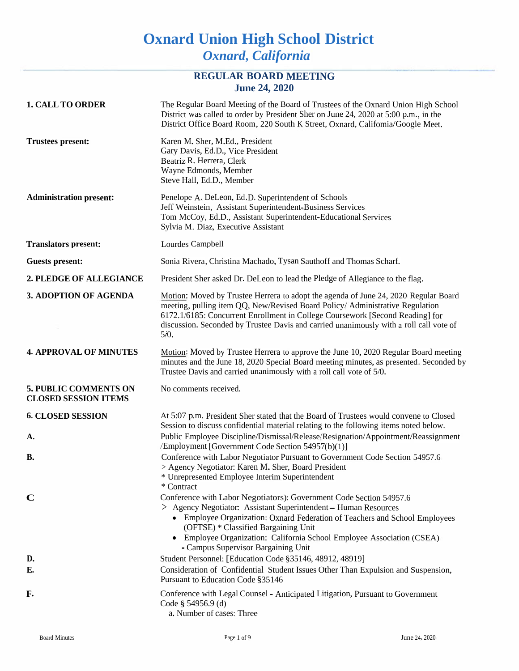# **Oxnard Union High School District** *Oxnard, California*

## **REGULAR BOARD MEETING June 24, 2020**

| <b>1. CALL TO ORDER</b>                                     | The Regular Board Meeting of the Board of Trustees of the Oxnard Union High School<br>District was called to order by President Sher on June 24, 2020 at 5:00 p.m., in the<br>District Office Board Room, 220 South K Street, Oxnard, Califomia/Google Meet.                                                                                                                   |
|-------------------------------------------------------------|--------------------------------------------------------------------------------------------------------------------------------------------------------------------------------------------------------------------------------------------------------------------------------------------------------------------------------------------------------------------------------|
| <b>Trustees present:</b>                                    | Karen M. Sher, M.Ed., President<br>Gary Davis, Ed.D., Vice President<br>Beatriz R. Herrera, Clerk<br>Wayne Edmonds, Member<br>Steve Hall, Ed.D., Member                                                                                                                                                                                                                        |
| <b>Administration present:</b>                              | Penelope A. DeLeon, Ed.D. Superintendent of Schools<br>Jeff Weinstein, Assistant Superintendent-Business Services<br>Tom McCoy, Ed.D., Assistant Superintendent-Educational Services<br>Sylvia M. Diaz, Executive Assistant                                                                                                                                                    |
| <b>Translators present:</b>                                 | Lourdes Campbell                                                                                                                                                                                                                                                                                                                                                               |
| <b>Guests present:</b>                                      | Sonia Rivera, Christina Machado, Tysan Sauthoff and Thomas Scharf.                                                                                                                                                                                                                                                                                                             |
| 2. PLEDGE OF ALLEGIANCE                                     | President Sher asked Dr. DeLeon to lead the Pledge of Allegiance to the flag.                                                                                                                                                                                                                                                                                                  |
| 3. ADOPTION OF AGENDA                                       | Motion: Moved by Trustee Herrera to adopt the agenda of June 24, 2020 Regular Board<br>meeting, pulling item QQ, New/Revised Board Policy/ Administrative Regulation<br>6172.1/6185: Concurrent Enrollment in College Coursework [Second Reading] for<br>discussion. Seconded by Trustee Davis and carried unanimously with a roll call vote of<br>5/0.                        |
| <b>4. APPROVAL OF MINUTES</b>                               | Motion: Moved by Trustee Herrera to approve the June 10, 2020 Regular Board meeting<br>minutes and the June 18, 2020 Special Board meeting minutes, as presented. Seconded by<br>Trustee Davis and carried unanimously with a roll call vote of 5/0.                                                                                                                           |
| <b>5. PUBLIC COMMENTS ON</b><br><b>CLOSED SESSION ITEMS</b> | No comments received.                                                                                                                                                                                                                                                                                                                                                          |
| <b>6. CLOSED SESSION</b><br>А.                              | At 5:07 p.m. President Sher stated that the Board of Trustees would convene to Closed<br>Session to discuss confidential material relating to the following items noted below.<br>Public Employee Discipline/Dismissal/Release/Resignation/Appointment/Reassignment<br>/Employment [Government Code Section 54957(b)(1)]                                                       |
| В.                                                          | Conference with Labor Negotiator Pursuant to Government Code Section 54957.6<br>> Agency Negotiator: Karen M. Sher, Board President<br>* Unrepresented Employee Interim Superintendent<br>* Contract                                                                                                                                                                           |
| $\mathbf C$                                                 | Conference with Labor Negotiators): Government Code Section 54957.6<br>> Agency Negotiator: Assistant Superintendent - Human Resources<br>• Employee Organization: Oxnard Federation of Teachers and School Employees<br>(OFTSE) * Classified Bargaining Unit<br>• Employee Organization: California School Employee Association (CSEA)<br>- Campus Supervisor Bargaining Unit |
| D.                                                          | Student Personnel: [Education Code §35146, 48912, 48919]                                                                                                                                                                                                                                                                                                                       |
| Е.                                                          | Consideration of Confidential Student Issues Other Than Expulsion and Suspension,<br>Pursuant to Education Code §35146                                                                                                                                                                                                                                                         |
| F.                                                          | Conference with Legal Counsel - Anticipated Litigation, Pursuant to Government<br>Code § 54956.9 (d)<br>a. Number of cases: Three                                                                                                                                                                                                                                              |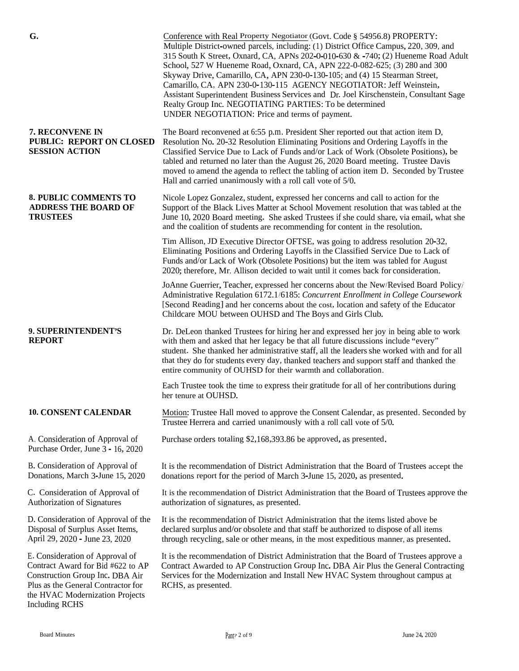| G.                                                                                                                                                                                                        | Conference with Real Property Negotiator (Govt. Code § 54956.8) PROPERTY:<br>Multiple District-owned parcels, including: (1) District Office Campus, 220, 309, and<br>315 South K Street, Oxnard, CA, APNs 202-0-010-630 & -740; (2) Hueneme Road Adult<br>School, 527 W Hueneme Road, Oxnard, CA, APN 222-0-082-625; (3) 280 and 300<br>Skyway Drive, Camarillo, CA, APN 230-0-130-105; and (4) 15 Stearman Street,                                                                                         |
|-----------------------------------------------------------------------------------------------------------------------------------------------------------------------------------------------------------|--------------------------------------------------------------------------------------------------------------------------------------------------------------------------------------------------------------------------------------------------------------------------------------------------------------------------------------------------------------------------------------------------------------------------------------------------------------------------------------------------------------|
|                                                                                                                                                                                                           | Camarillo, CA, APN 230-0-130-115 AGENCY NEGOTIATOR: Jeff Weinstein,<br>Assistant Superintendent Business Services and Dr. Joel Kirschenstein, Consultant Sage<br>Realty Group Inc. NEGOTIATING PARTIES: To be determined<br>UNDER NEGOTIATION: Price and terms of payment.                                                                                                                                                                                                                                   |
| 7. RECONVENE IN<br><b>PUBLIC: REPORT ON CLOSED</b><br><b>SESSION ACTION</b>                                                                                                                               | The Board reconvened at 6:55 p.m. President Sher reported out that action item D,<br>Resolution No. 20-32 Resolution Eliminating Positions and Ordering Layoffs in the<br>Classified Service Due to Lack of Funds and/or Lack of Work (Obsolete Positions), be<br>tabled and returned no later than the August 26, 2020 Board meeting. Trustee Davis<br>moved to amend the agenda to reflect the tabling of action item D. Seconded by Trustee<br>Hall and carried unanimously with a roll call vote of 5/0. |
| <b>8. PUBLIC COMMENTS TO</b><br><b>ADDRESS THE BOARD OF</b><br><b>TRUSTEES</b>                                                                                                                            | Nicole Lopez Gonzalez, student, expressed her concerns and call to action for the<br>Support of the Black Lives Matter at School Movement resolution that was tabled at the<br>June 10, 2020 Board meeting. She asked Trustees if she could share, via email, what she<br>and the coalition of students are recommending for content in the resolution.                                                                                                                                                      |
|                                                                                                                                                                                                           | Tim Allison, JD Executive Director OFTSE, was going to address resolution 20-32,<br>Eliminating Positions and Ordering Layoffs in the Classified Service Due to Lack of<br>Funds and/or Lack of Work (Obsolete Positions) but the item was tabled for August<br>2020; therefore, Mr. Allison decided to wait until it comes back for consideration.                                                                                                                                                          |
|                                                                                                                                                                                                           | JoAnne Guerrier, Teacher, expressed her concerns about the New/Revised Board Policy/<br>Administrative Regulation 6172.1/6185: Concurrent Enrollment in College Coursework<br>[Second Reading] and her concerns about the cost, location and safety of the Educator<br>Childcare MOU between OUHSD and The Boys and Girls Club.                                                                                                                                                                              |
| 9. SUPERINTENDENT'S<br><b>REPORT</b>                                                                                                                                                                      | Dr. DeLeon thanked Trustees for hiring her and expressed her joy in being able to work<br>with them and asked that her legacy be that all future discussions include "every"<br>student. She thanked her administrative staff, all the leaders she worked with and for all<br>that they do for students every day, thanked teachers and support staff and thanked the<br>entire community of OUHSD for their warmth and collaboration.                                                                       |
|                                                                                                                                                                                                           | Each Trustee took the time to express their gratitude for all of her contributions during<br>her tenure at OUHSD.                                                                                                                                                                                                                                                                                                                                                                                            |
| <b>10. CONSENT CALENDAR</b>                                                                                                                                                                               | Motion: Trustee Hall moved to approve the Consent Calendar, as presented. Seconded by<br>Trustee Herrera and carried unanimously with a roll call vote of 5/0.                                                                                                                                                                                                                                                                                                                                               |
| A. Consideration of Approval of<br>Purchase Order, June 3 - 16, 2020                                                                                                                                      | Purchase orders totaling \$2,168,393.86 be approved, as presented.                                                                                                                                                                                                                                                                                                                                                                                                                                           |
| B. Consideration of Approval of<br>Donations, March 3-June 15, 2020                                                                                                                                       | It is the recommendation of District Administration that the Board of Trustees accept the<br>donations report for the period of March 3-June 15, 2020, as presented.                                                                                                                                                                                                                                                                                                                                         |
| C. Consideration of Approval of<br>Authorization of Signatures                                                                                                                                            | It is the recommendation of District Administration that the Board of Trustees approve the<br>authorization of signatures, as presented.                                                                                                                                                                                                                                                                                                                                                                     |
| D. Consideration of Approval of the<br>Disposal of Surplus Asset Items,<br>April 29, 2020 - June 23, 2020                                                                                                 | It is the recommendation of District Administration that the items listed above be<br>declared surplus and/or obsolete and that staff be authorized to dispose of all items<br>through recycling, sale or other means, in the most expeditious manner, as presented.                                                                                                                                                                                                                                         |
| E. Consideration of Approval of<br>Contract Award for Bid #622 to AP<br>Construction Group Inc. DBA Air<br>Plus as the General Contractor for<br>the HVAC Modernization Projects<br><b>Including RCHS</b> | It is the recommendation of District Administration that the Board of Trustees approve a<br>Contract Awarded to AP Construction Group Inc. DBA Air Plus the General Contracting<br>Services for the Modernization and Install New HVAC System throughout campus at<br>RCHS, as presented.                                                                                                                                                                                                                    |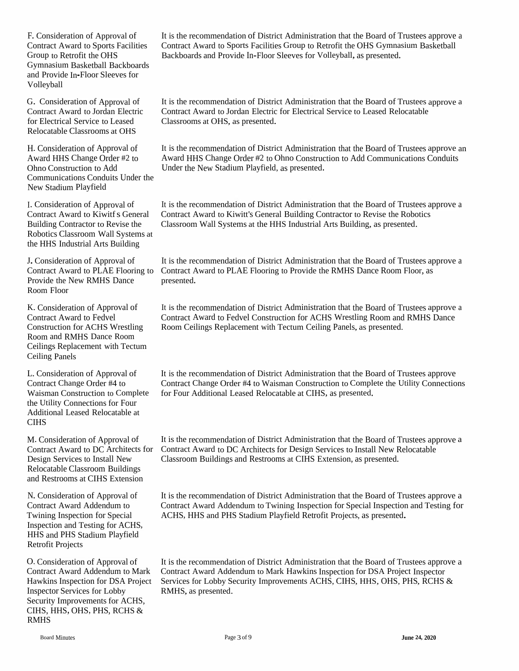F. Consideration of Approval of Contract Award to Sports Facilities Group to Retrofit the OHS Gymnasium Basketball Backboards and Provide In-Floor Sleeves for Volleyball

G. Consideration of Approval of Contract Award to Jordan Electric for Electrical Service to Leased Relocatable Classrooms at OHS

H.Consideration of Approval of Award HHS Change Order #2 to Ohno Construction to Add Communications Conduits Under the New Stadium Playfield

I. Consideration of Approval of Contract Award to Kiwitf s General Building Contractor to Revise the Robotics Classroom Wall Systems at the HHS Industrial Arts Building

Provide the New RMHS Dance presented. Room Floor

K.Consideration of Approval of Contract Award to Fedvel Construction for ACHS Wrestling Room and RMHS Dance Room Ceilings Replacement with Tectum Ceiling Panels

L. Consideration of Approval of Contract Change Order #4 to Waisman Construction to Complete the Utility Connections for Four Additional Leased Relocatable at CIHS

Relocatable Classroom Buildings and Restrooms at CIHS Extension

N. Consideration of Approval of Contract Award Addendum to Twining Inspection for Special Inspection and Testing for ACHS, HHS and PHS Stadium Playfield Retrofit Projects

O. Consideration of Approval of Inspector Services for Lobby Security Improvements for ACHS, CIHS, HHS, OHS, PHS, RCHS & RMHS

It is the recommendation of District Administration that the Board of Trustees approve <sup>a</sup> Contract Award to Sports Facilities Group to Retrofit the OHS Gymnasium Basketball Backboards and Provide In-Floor Sleeves for Volleyball, as presented.

It is the recommendation of District Administration that the Board of Trustees approve <sup>a</sup> Contract Award to Jordan Electric for Electrical Service to Leased Relocatable Classrooms at OHS, as presented.

It is the recommendation of District Administration that the Board of Trustees approve an Award HHS Change Order #2 to Ohno Construction to Add Communications Conduits Under the New Stadium Playfield, as presented.

It is the recommendation of District Administration that the Board of Trustees approve <sup>a</sup> Contract Award to Kiwitt's General Building Contractor to Revise the Robotics Classroom Wall Systems at the HHS Industrial Arts Building, as presented.

J. Consideration of Approval of It is the recommendation of District Administration that the Board of Trustees approve a Contract Award to PLAE Flooring to Contract Award to PLAE Flooring to Provide the RMHS Dance Room Floor, as

> It is the recommendation of District Administration that the Board of Trustees approve <sup>a</sup> Contract Award to Fedvel Construction for ACHS Wrestling Room and RMHS Dance Room Ceilings Replacement with Tectum Ceiling Panels, as presented.

> It is the recommendation of District Administration that the Board of Trustees approve Contract Change Order #4 to Waisman Construction to Complete the Utility Connections for Four Additional Leased Relocatable at CIHS, as presented.

M. Consideration of Approval of It is the recommendation of District Administration that the Board of Trustees approve a Contract Award to DC Architects for Contract Award to DC Architects for Design Services to Install New Relocatable Design Services to Install New Classroom Buildings and Restrooms at CIHS Extension, as presented.

> It is the recommendation of District Administration that the Board of Trustees approve <sup>a</sup> Contract Award Addendum to Twining Inspection for Special Inspection and Testing for ACHS, HHS and PHS Stadium Playfield Retrofit Projects, as presented.

Contract Award Addendum to Mark Contract Award Addendum to Mark Hawkins Inspection for DSA Project Inspector Hawkins Inspection for DSA Project Services for Lobby Security Improvements ACHS, CIHS, HHS, OHS, PHS, RCHS & It is the recommendation of District Administration that the Board of Trustees approve <sup>a</sup> RMHS, as presented.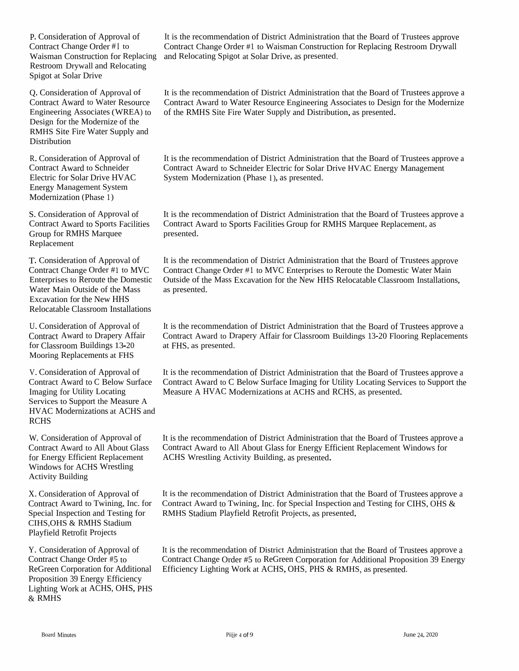P. Consideration of Approval of Contract Change Order #I to Waisman Construction for Replacing<br>Restream Druvell and Relacting Restroom Drywall and Relocating<br>Spigot at Solar Drive Spigot at Solar Drive

Q. Consideration of Approval of Contract Award to Water Resource Engineering Associates (WREA) to<br>Decise for the Medamine of the Design for the Modernize of the<br>DAUG Site Fire Weter Symply RMHS Site Fire Water Supply and Distribution

R. Consideration of Approval of Contract Award to Schneider<br>Electric for Schar Drive UVA Electric for Solar Drive HVACEnergy Management System Modernization (Phase 1)

S. Consideration of Approval of<br>Contract Award to Sports Facilia Contract Award to Sports Facilities Group for RMHS Marquee Replacement

T. Consideration of Approval of Contract Change Order #1 to MVCEnterprises to Reroute the Domestic<br>Weten Main Outside of the Marc Water Main Outside of the Mass Excavation for the New<br>Pelasatekla Classroom Excavation for the New HHS<br>Relocatable Classroom Installations

U. Consideration of Approval of Contract Award to Drapery Affair for Classroomfor Classroom Buildings 13-20<br>Mooring Replacements at FHS

V. Consideration of Approval of<br>Contract Award to C Balow Synt Contract Award to C Below Surface<br>Imaging for Utility Locating Imaging for Utility Locating<br>Saminas to Sunnort the Mac Services to Support the Measure A HVAC Modernizations at ACHS and RCHS

W. Consideration of Approval of Contract Award to All About Glass for Energy Efficient Replacement<br>Windows for ACUS Wassiling Windows for ACHS Wrestling<br>Activity Building Activity Building

X. Consideration of Approval of Contract Award to Special Inspection and Testing for<br>CUIS OUS & DAUIS Stadium CIHS,OHS & RMHS Stadium<br>Plavfield Retrofit Proiects Playfield Retrofit Projects

Y. Consideration of Approval of Contract Change Order #5 to ReGreen Corporation for Additional Efficiency Lighting Work ReGreen Corporation for Additional – Efficiency Lighting Work at ACHS, OHS, PHS & RMHS, as presented.<br>Proposition 39 Energy Efficiency n 39 Energy Efficiency<br>Verk et ACUS OUS D Lighting Work at ACHS, OHS, PHS& RMHS

It is the recommendation of District Administration that the Board of Trustees approve<br>Contract Change Order #1 to Weights Construction for Barlasine Destroyer Duryell Contract Change Order #1 to Waisman Construction for Replacing Restroom Drywall and Relocating Spigot at Solar Drive, as presented.

It is the recommendation of District Administration that the Board of Trustees approve a<br>Contract Award to Water Bassures Engineering Associates to Design for the Madamire Contract Award to Water Resource Engineering Associates to Design for the Modernize of the RMHS Site Fire Water Supply and Distribution, as presented.

It is the recommendation of District Administration that the Board of Trustees approve a<br>Contract Award to Schneider Flastije for Sclap Dijve IWAC Fragmy Management Contract Award to Schneider Electric for Solar Drive HVAC Energy Management System Modernization (Phase 1), as presented.

It is the recommendation of District Administration that the Board of Trustees approve a<br>Contract Award to Sports Facilities Crown for DMUS Margues Depleases at as Contract Award to Sports Facilities Group for RMHS Marquee Replacement, as presented.

It is the recommendation of District Administration that the Board of Trustees approve<br>Contract Change Order #1 to MIC Enterprises to Benevis the Democite Weten Major Contract Change Order #1 to MVC Enterprises to Reroute the Domestic Water Main Outside of the Mass Excavation for the New HHS Relocatable Classroom Installations, as presented.

It is the recommendation of District Administration that the Board of Trustees approve a<br>Contract Award to Drapory Affair for Classroom Buildings 12.20 Flooring Bankasus with Contract Award to Drapery Affair for Classroom Buildings 13-20 Flooring Replacements at FHS, as presented.

It is the recommendation of District Administration that the Board of Trustees approve a<br>Contract Award to G Bolow Surface Imaging for Utility Lazzling Services to Surge at the Contract Award to C Below Surface Imaging for Utility Locating Services to Support the Measure <sup>A</sup> HVAC Modernizations at ACHS and RCHS, as presented.

It is the recommendation of District Administration that the Board of Trustees approve a<br>Contract Award to All About Class for Francy Efficient Bankaamant Wirelams for Contract Award to All About Glass for Energy Efficient Replacement Windows for<br>ACUS Wesstling Astivity Building as are until ACHS Wrestling Activity Building, as presented.

o Twining, Inc. for Contract Award to Twining, Inc. for Special Inspection and Testing for CIHS, OHS & It is the recommendation of District Administration that the Board of Trustees approve a<br>Contract Award to Trujujus, Jac. for Sessial Increasion and Trating for CIUS, OUG 8 RMHS Stadium Playfield Retrofit Projects, as presented.

> It is the recommendation of District Administration that the Board of Trustees approve a<br>Contract Change Order #5 to BeCrean Corporation for Additional Proposition 20 France Contract Change Order #5 to ReGreen Corporation for Additional Proposition 39 Energy<br>Efficiency Lighting Work at ACUS OUS PUS & PAULS as presented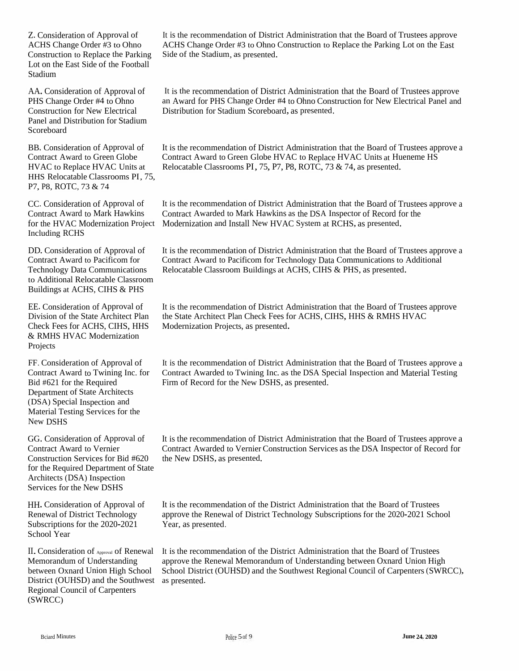Z. Consideration of Approval of ACHS Change Order #3 to Ohno Construction to Replace the Parking Lot on the East Side of the Football Stadium

AA. Consideration of Approval of PHS Change Order #4 to Ohno Construction for New Electrical Panel and Distribution for Stadium Scoreboard

BB. Consideration of Approval of Contract Award to Green Globe HVAC to Replace HVAC Units at HHS Relocatable Classrooms PI, 75, P7, P8, ROTC, <sup>73</sup> & <sup>74</sup>

CC. Consideration of Approval of Contract Award to Mark Hawkins Including RCHS

DD. Consideration of Approval of Contract Award to Pacificom for Technology Data Communications to Additional Relocatable Classroom Buildings at ACHS, CIHS & PHS

EE. Consideration of Approval of Division of the State Architect Plan Check Fees for ACHS, CIHS, HHS & RMHS HVAC Modernization Projects

Department of State Architects (DSA) Special Inspection and Material Testing Services for the New DSHS

GG. Consideration of Approval of Contract Award to Vernier Construction Services for Bid #620 for the Required Department of State Architects (DSA) Inspection Services for the New DSHS

HH. Consideration of Approval of Renewal of District Technology Subscriptions for the 2020-2021 School Year

Memorandum of Understanding District (OUHSD) and the Southwest as presented. Regional Council of Carpenters (SWRCC)

It is the recommendation of District Administration that the Board of Trustees approve ACHS Change Order #3 to Ohno Construction to Replace the Parking Lot on the East Side of the Stadium, as presented.

It is the recommendation of District Administration that the Board of Trustees approve an Award for PHS Change Order #4 to Ohno Construction for New Electrical Panel and Distribution for Stadium Scoreboard, as presented.

It is the recommendation of District Administration that the Board of Trustees approve <sup>a</sup> Contract Award to Green Globe HVAC to Replace HVAC Units at Hueneme HS Relocatable Classrooms PI, 75, P7, P8, ROTC, 73 & 74, as presented.

for the HVAC Modernization Project Modernization and Install New HVAC System at RCHS, as presented. It is the recommendation of District Administration that the Board of Trustees approve <sup>a</sup> Contract Awarded to Mark Hawkins as the DSA Inspector of Record for the

> It is the recommendation of District Administration that the Board of Trustees approve <sup>a</sup> Contract Award to Pacificom for Technology Data Communications to Additional Relocatable Classroom Buildings at ACHS, CIHS & PHS, as presented.

It is the recommendation of District Administration that the Board of Trustees approve the State Architect Plan Check Fees for ACHS, CIHS, HHS & RMHS HVAC Modernization Projects, as presented.

FF. Consideration of Approval of It is the recommendation of District Administration that the Board of Trustees approve a Contract Award to Twining Inc. for Contract Awarded to Twining Inc. as the DSA Special Inspection an Contract Awarded to Twining Inc. as the DSA Special Inspection and Material Testing Bid #621 for the Required Firm of Record for the New DSHS, as presented.

> It is the recommendation of District Administration that the Board of Trustees approve <sup>a</sup> Contract Awarded to Vernier Construction Services as the DSA Inspector of Record for the New DSHS, as presented.

It is the recommendation of the District Administration that the Board of Trustees approve the Renewal of District Technology Subscriptions for the 2020-2021 School Year, as presented.

II.Consideration of Approval of Renewal It is the recommendation of the District Administration that the Board of Trustees between Oxnard Union High School School District (OUHSD) and the Southwest Regional Council of Carpenters (SWRCC), approve the Renewal Memorandum of Understanding between Oxnard Union High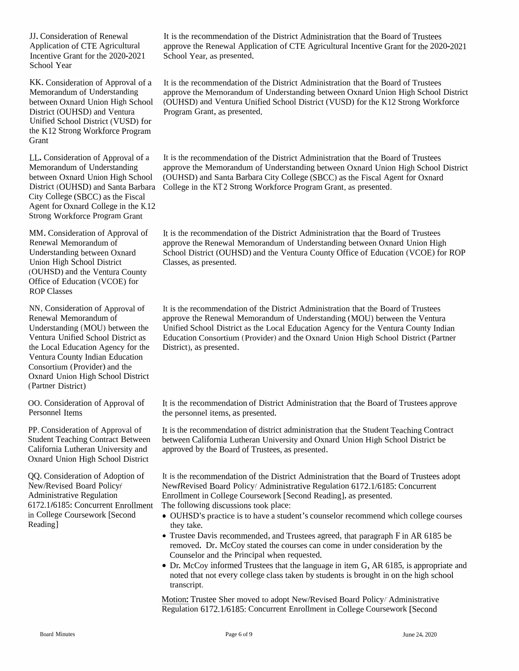JJ. Consideration of Renewal Application of CTE Agricultural<br>Incentive Grant for the 2020-202 Incentive Grant for the 2020-2021School Year

KK. ConsiderationMemorandum of Understanding between Oxnard Union High School District (OUHSD) andDistrict (OUHSD) and Ventura Program Grant, as presented.<br>Unified School District (VUSD) for<br>the K12 Street Wed for a Dream the K12 Strong Workforce Program<br>Creat Grant

LL. ConsiderationMemorandum of Understanding Memorandum of Understanding<br>between Oxnard Union High Sc District (OUHSD) and Santa Barbara College in District (OUHSD) and Santa Barbara – College in the KT 2 Strong Workforce Program Grant, as presented.<br>City College (SBCC) as the Fiscal City College (SBCC) as the Fiscal Agent for Oxnard College in the K.12 Strong Workforce Program Grant

MM. Consideration of Approval of Renewal MemorandumRenewal Memorandum of<br>Understanding between Oxnard<br>Union High Sobool District Union High School District (OUHSD) and the Ventura CountyOffice of Education (VCOE) for<br>POP Classes ROP Classes

NN. Consideration of Approval of Renewal MemorandumRenewal Memorandum of<br>Understanding (MOU) between the<br>Venture Unified Sakeel Divisit as Ventura Unified School District as the Local Education Agency for the<br>Venture County Indian Education Ventura County Indian EducationConsortium (Provider) and the (Provider) and the Oxnard Union High School District (Partner District)

OO. Consideration of Approval of Personnel Items

PP. ConsiderationStudent Teaching Contract Between between California Lutheran UniversityCalifornia Lutheran University and approved by the Board of Trustees, as presented.<br>Oxnard Union High School District Union High School District

QQ. Consideration of Adoption of New/Revised Board Policy*f*New/Revised Board Policy*i*<br>Administrative Regulation 6172.1 6185: Concurrent Enrollment The following/in College Coursework [Second<br>Peadinal Reading]

It is the recommendation of the District Administration that the Board of Trustees approve the Renewal Application of CTE Agricultural Incentive Grant for the 2020-2021<br>School Vear, as presented School Year, as presented.

n of Approval of a It is the recommendation of the District Administration that the Board of Trustees randum of Understanding approve the Memorandum of Understanding between Oxnard Union High School District<br>
n Oxnard Union High School (OUHSD) and Ventura Unified School District (VUSD) for the K12 Strong Workforce<br>
counter

n of Approval of a It is the recommendation of the District Administration that the Board of Trustees randum of Understanding approve the Memorandum of Understanding between Oxnard Union High School District<br>n Oxnard Union High School (OUHSD) and Santa Barbara City College (SBCC) as the Fiscal Agent for Oxnard<br>t (OUHSD) an approve the Memorandum

> It is the recommendation of the District Administration that the Board of Trustees approve the Renewal Memorandum approve the Renewal Memorandum of Understanding between Oxnard Union High<br>School District (OUHSD) and the Ventura County Office of Education (VCOE) for ROP<br>Cleases as aresetted Classes, as presented.

It is the recommendation of the District Administration that the Board of Trustees approve the Renewal Memorandum approve the Renewal Memorandum of Understanding (MOU) between the Ventura<br>Unified School District as the Local Education Agency for the Ventura County Indian Education Consortium (Provider) and the Oxnard Union High School District (Partner District), as presented.

It is the recommendation of District Administration that the Board of Trustees approve<br>the negational items as areasated the personne<sup>l</sup> items, as presented.

n of Approval of It is the recommendation of district administration that the Student Teaching Contract<br>Contract Petusen Letusen Celifornia Lutheren University and Ounced Union High School District ha n California Lutheran University and Oxnard Union High School District be<br>ad by the Based of Trustage as assessed d

It is the recommendation of the District Administration that the Board of Trustees adopt<br>Name Registed Reard Ralicul Administrative Resultion 6172 1/6185; Consument *i* New Revised Board Policy Administrative Regulation 6172.1/6185: Concurrent<br> *Farollment in College Coursework [Second Reading], as presented.* Enrollment in College Coursework [Second Reading], as presented.

discussions took <sup>p</sup>lace:

- OUHSD's practice is to have a student's counselor recommend which college courses they take they take.
- Trustee Davis recommended, and Trustees agreed, that paragraph F in AR 6185 be removed. Dr. McCov stated the courses can come in under consideration by the removed. Dr. McCoy stated the courses can come in under consideration by the<br>Courselor and the Dringinal when requested Counselor andCounselor and the Principal when requested. ● Dr. McCov informed Trustees that the langu
- Dr. McCoy informed Trustees that the language in item<br>noted that not every college class taken by students is b Dr. McCoy informed Trustees that the language in item G, AR 6185, is appropriate and<br>noted that not every college class taken by students is brought in on the high school<br>transmit transcript.

Motion: Trustee Sher moved to adopt New/Revised Board Policy/ Administrative<br>Revision 6172146195: Consumer Faustlines in Gallage Conserved IS as ad-Regulation 6172.1/6185: Concurrent Enrollment in College Coursework [Second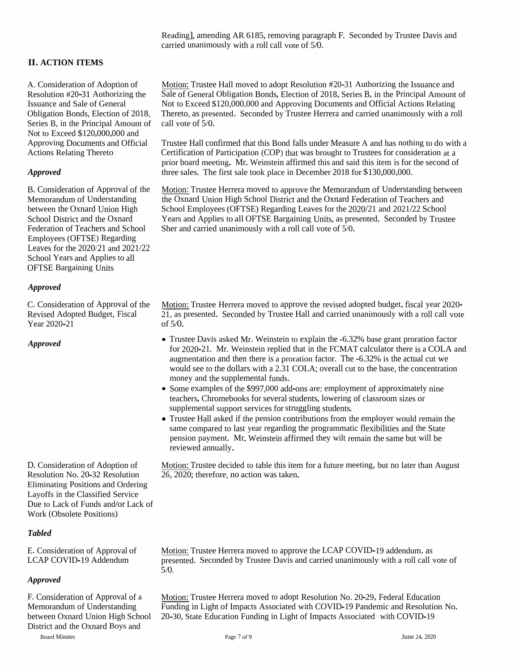Reading], amending AR 6185, removing paragrap<sup>h</sup> F. Seconded by Trustee Davis and carried unanimously with <sup>a</sup> roll call vote of 5/0.

### **II. ACTION ITEMS**

A. Consideration of Adoption of Resolution #20-31 Authorizing the Issuance and Sale of General Series B, in the Principal Amount of call vote of 5/0. Not to Exceed \$120,000,000 and Approving Documents and Official Actions Relating Thereto

Employees (OFTSE) Regarding Leaves for the 2020/21 and 2021/22 School Years and Applies to all OFTSE Bargaining Units

#### *Approved*

C. Consideration of Approval of the Revised Adopted Budget, Fiscal Year 2020-21

Eliminating Positions and Ordering Layoffs in the Classified Service Due to Lack of Funds and/or Lack of Work (Obsolete Positions)

#### *Tabled*

E. Consideration of Approval of LCAP COVID-19 Addendum

#### *Approved*

F. Consideration of Approval of <sup>a</sup> Memorandum of Understanding between Oxnard Union High School District and the Oxnard Boys and

Board Minutes

Motion: Trustee Hall moved to adopt Resolution #20-31 Authorizing the Issuance and Sale of General Obligation Bonds, Election of 2018, Series B, in the Principal Amount of Not to Exceed \$120,000,000 and Approving Documents and Official Actions Relating Obligation Bonds, Election of 2018, Thereto, as presented. Seconded by Trustee Herrera and carried unanimously with <sup>a</sup> roll

> Trustee Hall confirmed that this Bond falls under Measure <sup>A</sup> and has nothing to do with <sup>a</sup> Certification of Participation (COP) that was brought to Trustees for consideration at <sup>a</sup> prior board meeting. Mr. Weinstein affirmed this and said this item is for the second of three sales. The first sale took place in December 2018 for \$130,000,000.

Motion: Trustee Herrera moved to approve the Memorandum of Understanding between the Oxnard Union High School District and the Oxnard Federation of Teachers and School Employees (OFTSE) Regarding Leaves for the 2020/21 and 2021/22 School Years and Applies to all OFTSE Bargaining Units, as presented. Seconded by Trustee **Approved** three sales. The first sale took place in December 2018 f<br>
B. Consideration of Approval of the Motion: Trustee Herrera moved to approve the Memoran<br>
Memorandum of Understanding the Oxnard Union High School Distr

> Motion: Trustee Herrera moved to approve the revised adopted budget, fiscal year 2020- 21, as presented. Seconded by Trustee Hall and carried unanimously with <sup>a</sup> roll call vote of 5/0.

- Trustee Davis asked Mr. Weinstein to explain the -6.32% base grant proration factor for 2020-21. Mr. Weinstein replied that in the FCMAT calculator there is <sup>a</sup> COLA and augmentation and then there is <sup>a</sup> proration factor. The -6.32% is the actual cut we would see to the dollars with <sup>a</sup> 2.31 COLA; overall cut to the base, the concentration money and the supplemental funds. **Example 126, 2020**<br>
26, 2020-21. Mr. Weinstein replied the augmentation and then there is a prore<br>
would see to the dollars with a 2.31 C<br>
money and the supplemental funds.<br>
• Some examples of the \$997,000 add-<br>
teachers,
	- Some examples of the \$997,000 add-ons are: employment of approximately nine teachers, Chromebooks for several students, lowering of classroom sizes or supplemental suppor<sup>t</sup> services for struggling students.
	- •Trustee Hall asked if the pension contributions from the employer would remain the same compared to last year regarding the programmatic flexibilities and the State pension payment. Mr. Weinstein affirmed they wilt remain the same but will be reviewed annually.

Motion: Trustee decided to table this item for a future meeting, but no later than August 26, 2020; therefore, no action was taken.

Motion: Trustee Herrera moved to approve the LCAP COVID-19 addendum, as presented. Seconded by Trustee Davis and carried unanimously with <sup>a</sup> roll call vote of 5/0.

Motion: Trustee Herrera moved to adopt Resolution No. 20-29, Federal Education Funding in Light of Impacts Associated with COVID-19 Pandemic and Resolution No. 20-30, State Education Funding in Light of Impacts Associated with COVID-19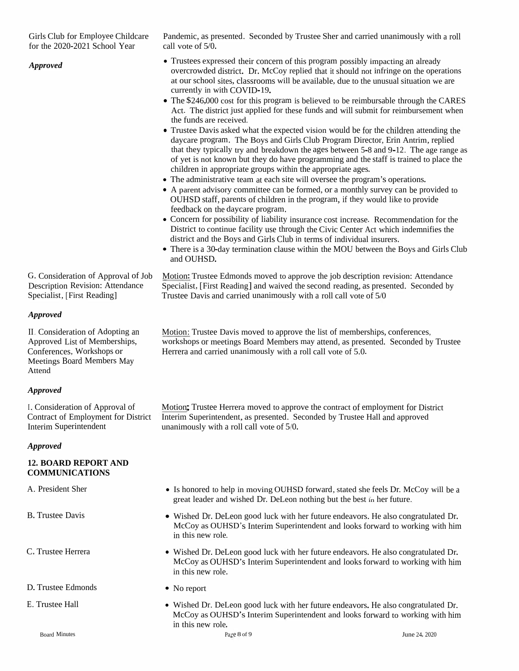Girls Club for Employee Childcare<br>for the 2020, 2021 Seheel Year for the 2020-2021 School Year

Pandemic, as presented. Seconded by Trustee Sher and carried unanimously with a roll<br>sall unto at 5.0 call vote of  $5/0$ .

- Trustees expressed their concern of this program<br>overcrowded district. Dr. McCov replied that it Trustees expressed their concern of this program possibly impacting an already<br>overcrowded district. Dr. McCoy replied that it should not infringe on the operations<br>of survey below also also programs will be surjichly due at our school sites, classrooms will be available, due to the unusual situation we are<br>surfactly in with COVID 10. currently in with COVID-19.
- The  $$246,000 \text{ cost}$  for this program The \$246,000 cost for this program is believed to be reimbursable through the CARES<br>Act. The district just applied for these funds and will submit for reimbursement when<br>the funds are reasived the funds are received.
- Trustee Davis asked what the expected vision would be for the children attending the davcare program. The Boys and Girls Club Program Director. Frin Antrim, replied daycare program. The Boys and Girls Club Programdaycare program. The Boys and Girls Club Program Director, Erin Antrim, replied<br>that they typically try and breakdown the ages between 5-8 and 9-12. The age range as<br>of sut is not known but they do have ages warming and th of yet is not known but they do have programming and the staff is trained to place the<br>obildren in appropriate groups within the appropriate acce children in appropriate groups withinchildren in appropriate groups within the appropriate ages.<br>• The administrative team at each site will oversee the progr **Approved**<br>
overcorouded<br>
at our school<br>
currently in v<br> **•** The \$246,000<br>
Act. The dist<br>
the funds are<br>
• Trustee Davi<br>
daycare prog<br>
that they typi<br>
of yet is not lead in a p<br> **•** The administ<br>
• A parent advi<br>
• OUHSD s
	- The administrative team • The administrative team at each site will oversee the program's operations.<br>• A parent advisory committee can be formed, or a monthly survey can be pr
	- $\bullet$  A A parent advisory committee can be formed, or a monthly survey can be provided to<br>OUHSD staff, parents of children in the program, if they would like to provide<br>feedback on the daycare program. feedback onfeedback on the daycare program.<br>• Concern for possibility of liability
	- Concern for possibility of liability insurance cost increase. Recommendation for the District to continue facility use through the Civic Center Act which indemnifies the District to continue facility use through the Civic Center Act which indemnifies the district and the Boys and Girls Club in tarms of individual inquana district and the Boys and Girls Club<br>There is a 20 december is a classe
	- district and the Boys and Girls Club in terms of individual insurers.<br>• There is a 30-day termination clause within the MOU between the Boys and Girls Club and OUHSD. and OUHSD.

Motion: Trustee Edmonds moved to approve the job description revision: Attendance Specialist, [First Reading] and waived the second reading, as presented. Seconded by<br>Trustee Devis and serviced wasnimavely with a sall sall wetself  $5/0$ Trustee Davis and carried unanimously with a roll call vote of 5/0

*Approved*

II. Consideration of Adopting anApproved List of Memberships, Conferences, Workshops or Meetings Board Members May Attend

G. Consideration of Approval of Job Description Revision: Attendance Specialist, [First Reading]

#### *Approved*

I. Consideration of Approval of Contract of Employment for District Interim Superintendent

#### *Approved*

#### **12. BOARD REPORT AND COMMUNICATIONS**

A. President Sher

- 
- C. Trustee Herrera •
- D. Trustee Edmonds •
- 

Motion: Trustee Davis moved to approve the list of memberships, conferences, weakening as meetings Recalled Li workshops or meetings Board Members may attend, as presented. Seconded by Trustee<br>Harrors and carried unanimously with a roll soll yets of 5.0 Herrera and carried unanimously with <sup>a</sup> roll call vote of 5.0.

Motion; Trustee Herrera moved to approve the contract of employment for District<br>Interim Superintendent as greented. Seconded by Trustee Hell and all Interim Superintendent, as presented. Seconded by Trustee Hall and approve<sup>d</sup> unanimously with <sup>a</sup> roll call vote of 5/0.

- $\mathbf{r}$  • Is honored to help in moving OUHSD forward, stated she feels Dr. McCoy will be a great leader and wished Dr. DeLeon nothing but the best in her future. great leader and wished Dr. DeLeon nothing but the best in her future.
- Wished Dr. DeLeon good luck with her future endeavors. He also congratulated Dr. Wished Dr. DeLeon goo<sup>d</sup> luck with her future endeavors. He also congratulated Dr. McCoy as OUHSD's Interim Superintendent and looks forward to working with himin this new**R. Trustee Davis**<br> **•** Wished Dr. Del<br>
McCoy as OUH<br>
in this new role.
	- Wished Dr. DeLeon goo<sup>d</sup> luck with her future endeavors. He also congratulated Dr. McCoy as OUHSD's Interim Superintendent and looks forward to working with himin this new role.
	- No report
- Wished Dr. DeLeon good luck with her future endeavors. He also congratulated Dr. • Wished Dr. DeLeon good luck with her future endeavors. He also congratulated Dr. McCoy as OUHSD's Interim Superintendent and looks forward to working with him in this new role. in this newE. Trustee Hall <br> **e** Wished Dr. Del<br>
McCoy as OUH<br>
in this new role.